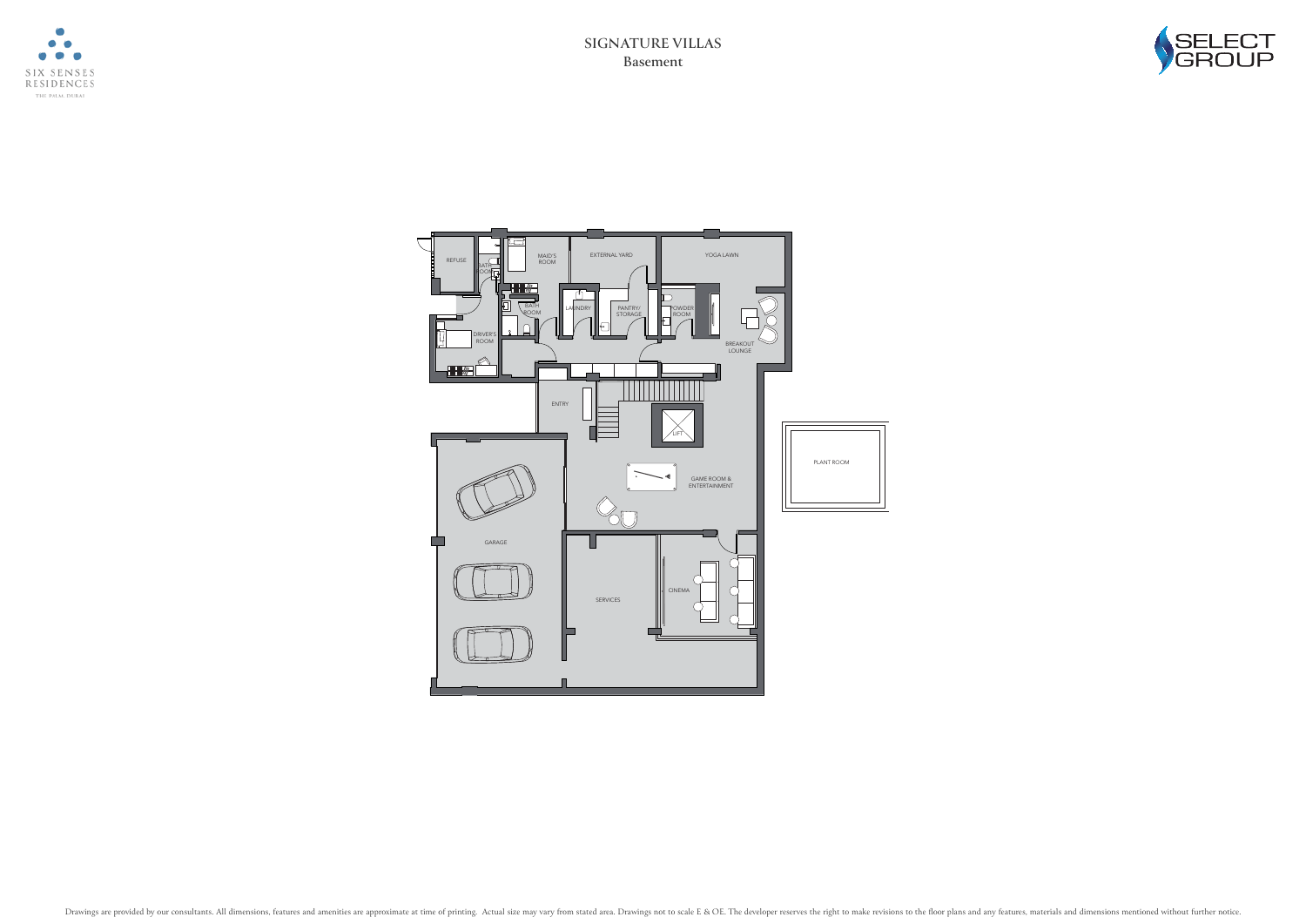





**Basement SIGNATURE VILLAS**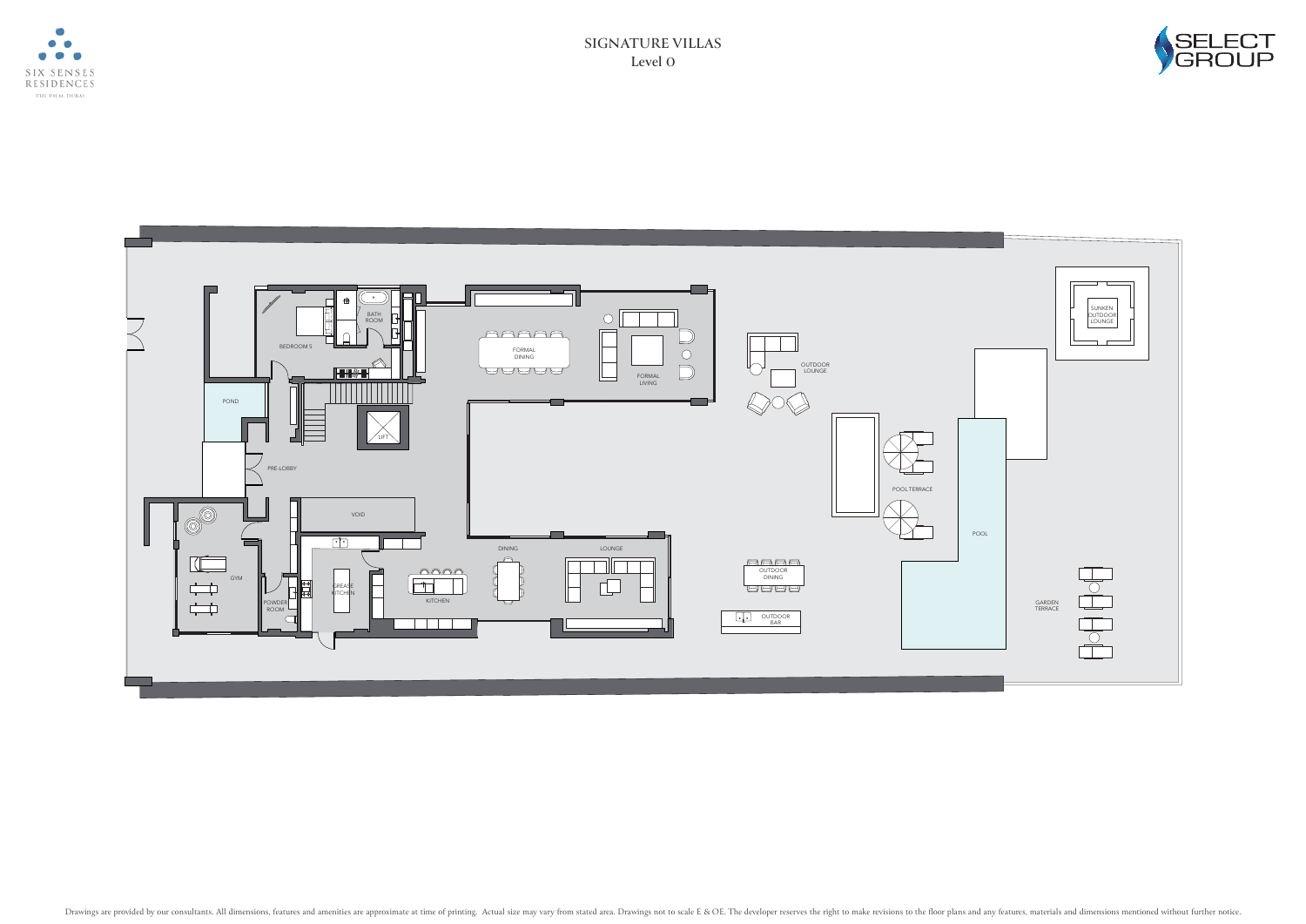





**Level 0 SIGNATURE VILLAS**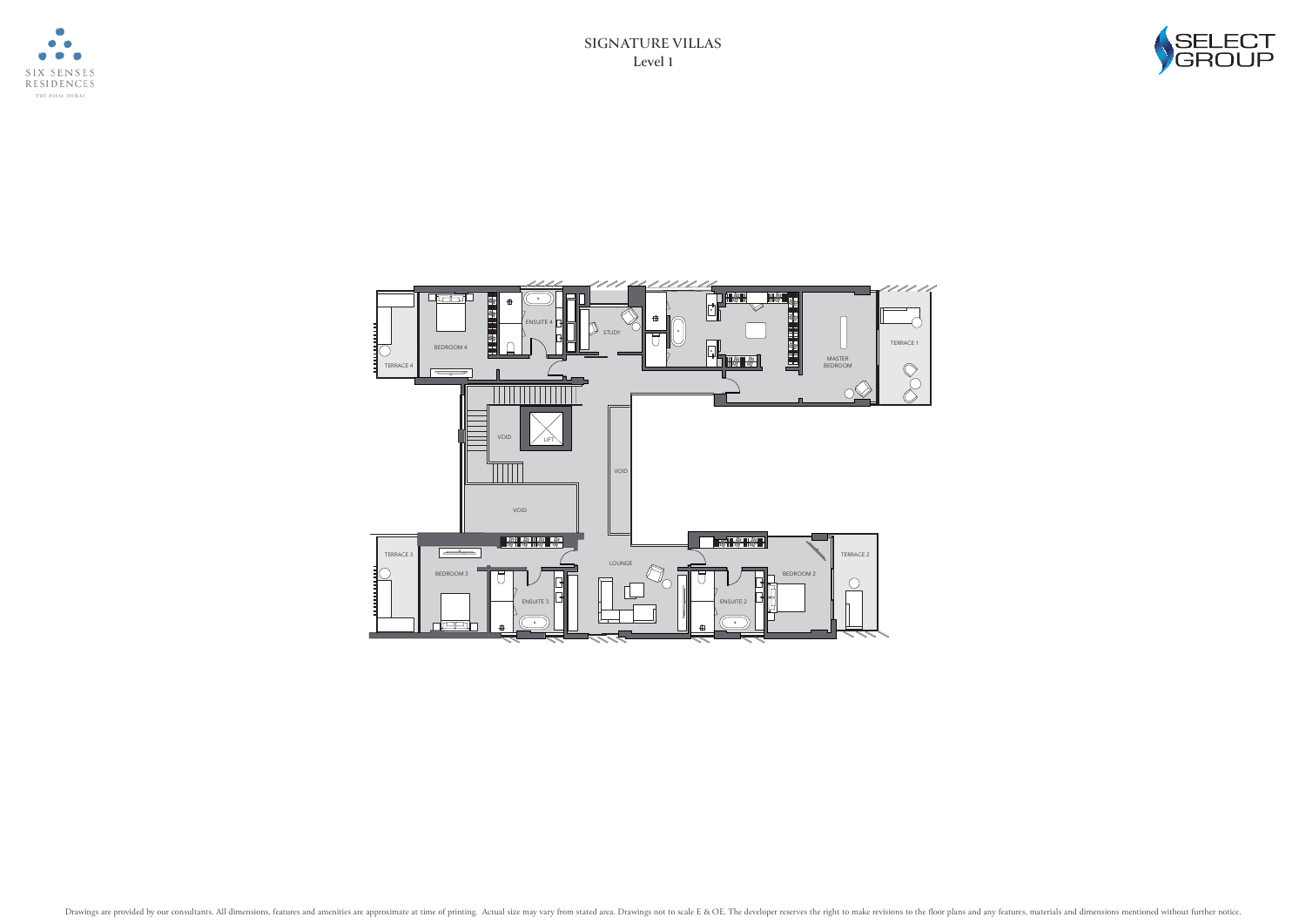





**Level 1 SIGNATURE VILLAS**